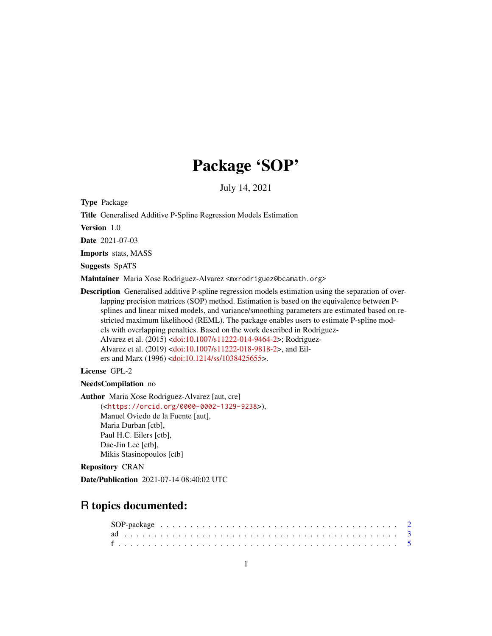# Package 'SOP'

July 14, 2021

<span id="page-0-0"></span>Type Package

Title Generalised Additive P-Spline Regression Models Estimation

Version 1.0

Date 2021-07-03

Imports stats, MASS

Suggests SpATS

Maintainer Maria Xose Rodriguez-Alvarez <mxrodriguez@bcamath.org>

Description Generalised additive P-spline regression models estimation using the separation of overlapping precision matrices (SOP) method. Estimation is based on the equivalence between Psplines and linear mixed models, and variance/smoothing parameters are estimated based on restricted maximum likelihood (REML). The package enables users to estimate P-spline models with overlapping penalties. Based on the work described in Rodriguez-Alvarez et al. (2015) [<doi:10.1007/s11222-014-9464-2>](https://doi.org/10.1007/s11222-014-9464-2); Rodriguez-Alvarez et al. (2019) [<doi:10.1007/s11222-018-9818-2>](https://doi.org/10.1007/s11222-018-9818-2), and Eilers and Marx (1996) [<doi:10.1214/ss/1038425655>](https://doi.org/10.1214/ss/1038425655).

License GPL-2

NeedsCompilation no

Author Maria Xose Rodriguez-Alvarez [aut, cre]

(<<https://orcid.org/0000-0002-1329-9238>>), Manuel Oviedo de la Fuente [aut], Maria Durban [ctb], Paul H.C. Eilers [ctb], Dae-Jin Lee [ctb], Mikis Stasinopoulos [ctb]

Repository CRAN

Date/Publication 2021-07-14 08:40:02 UTC

# R topics documented: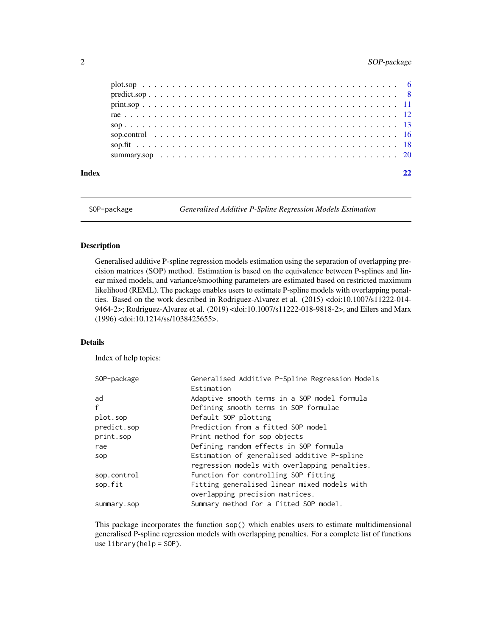# <span id="page-1-0"></span>2 SOP-package

| Index |  |  |  |  |  |  |  |  |  |  |  |  |  |  |  |  |  |  |
|-------|--|--|--|--|--|--|--|--|--|--|--|--|--|--|--|--|--|--|
|       |  |  |  |  |  |  |  |  |  |  |  |  |  |  |  |  |  |  |
|       |  |  |  |  |  |  |  |  |  |  |  |  |  |  |  |  |  |  |
|       |  |  |  |  |  |  |  |  |  |  |  |  |  |  |  |  |  |  |
|       |  |  |  |  |  |  |  |  |  |  |  |  |  |  |  |  |  |  |
|       |  |  |  |  |  |  |  |  |  |  |  |  |  |  |  |  |  |  |
|       |  |  |  |  |  |  |  |  |  |  |  |  |  |  |  |  |  |  |
|       |  |  |  |  |  |  |  |  |  |  |  |  |  |  |  |  |  |  |
|       |  |  |  |  |  |  |  |  |  |  |  |  |  |  |  |  |  |  |

SOP-package *Generalised Additive P-Spline Regression Models Estimation*

### Description

Generalised additive P-spline regression models estimation using the separation of overlapping precision matrices (SOP) method. Estimation is based on the equivalence between P-splines and linear mixed models, and variance/smoothing parameters are estimated based on restricted maximum likelihood (REML). The package enables users to estimate P-spline models with overlapping penalties. Based on the work described in Rodriguez-Alvarez et al. (2015) <doi:10.1007/s11222-014- 9464-2>; Rodriguez-Alvarez et al. (2019) <doi:10.1007/s11222-018-9818-2>, and Eilers and Marx (1996) <doi:10.1214/ss/1038425655>.

#### Details

Index of help topics:

| SOP-package | Generalised Additive P-Spline Regression Models |
|-------------|-------------------------------------------------|
|             | Estimation                                      |
| ad          | Adaptive smooth terms in a SOP model formula    |
| f           | Defining smooth terms in SOP formulae           |
| plot.sop    | Default SOP plotting                            |
| predict.sop | Prediction from a fitted SOP model              |
| print.sop   | Print method for sop objects                    |
| rae         | Defining random effects in SOP formula          |
| sop         | Estimation of generalised additive P-spline     |
|             | regression models with overlapping penalties.   |
| sop.control | Function for controlling SOP fitting            |
| sop.fit     | Fitting generalised linear mixed models with    |
|             | overlapping precision matrices.                 |
| summary.sop | Summary method for a fitted SOP model.          |
|             |                                                 |

This package incorporates the function sop() which enables users to estimate multidimensional generalised P-spline regression models with overlapping penalties. For a complete list of functions use library(help = SOP).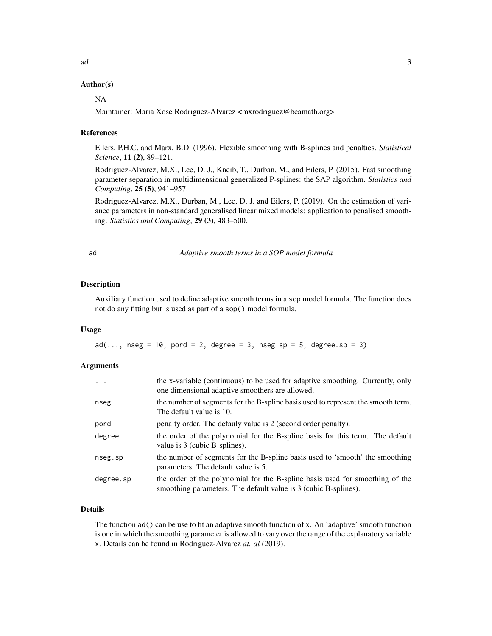# <span id="page-2-0"></span>Author(s)

#### NA

Maintainer: Maria Xose Rodriguez-Alvarez <mxrodriguez@bcamath.org>

#### References

Eilers, P.H.C. and Marx, B.D. (1996). Flexible smoothing with B-splines and penalties. *Statistical Science*, 11 (2), 89–121.

Rodriguez-Alvarez, M.X., Lee, D. J., Kneib, T., Durban, M., and Eilers, P. (2015). Fast smoothing parameter separation in multidimensional generalized P-splines: the SAP algorithm. *Statistics and Computing*, 25 (5), 941–957.

Rodriguez-Alvarez, M.X., Durban, M., Lee, D. J. and Eilers, P. (2019). On the estimation of variance parameters in non-standard generalised linear mixed models: application to penalised smoothing. *Statistics and Computing*, 29 (3), 483–500.

<span id="page-2-1"></span>

ad *Adaptive smooth terms in a SOP model formula*

#### **Description**

Auxiliary function used to define adaptive smooth terms in a sop model formula. The function does not do any fitting but is used as part of a sop() model formula.

#### Usage

 $ad(..., nseg = 10, pord = 2, degree = 3, nseg.sp = 5, degree.sp = 3)$ 

#### Arguments

| $\cdots$  | the x-variable (continuous) to be used for adaptive smoothing. Currently, only<br>one dimensional adaptive smoothers are allowed.               |
|-----------|-------------------------------------------------------------------------------------------------------------------------------------------------|
| nseg      | the number of segments for the B-spline basis used to represent the smooth term.<br>The default value is 10.                                    |
| pord      | penalty order. The defauly value is 2 (second order penalty).                                                                                   |
| degree    | the order of the polynomial for the B-spline basis for this term. The default<br>value is 3 (cubic B-splines).                                  |
| nseg.sp   | the number of segments for the B-spline basis used to 'smooth' the smoothing<br>parameters. The default value is 5.                             |
| degree.sp | the order of the polynomial for the B-spline basis used for smoothing of the<br>smoothing parameters. The default value is 3 (cubic B-splines). |

# Details

The function ad() can be use to fit an adaptive smooth function of x. An 'adaptive' smooth function is one in which the smoothing parameter is allowed to vary over the range of the explanatory variable x. Details can be found in Rodriguez-Alvarez *at. al* (2019).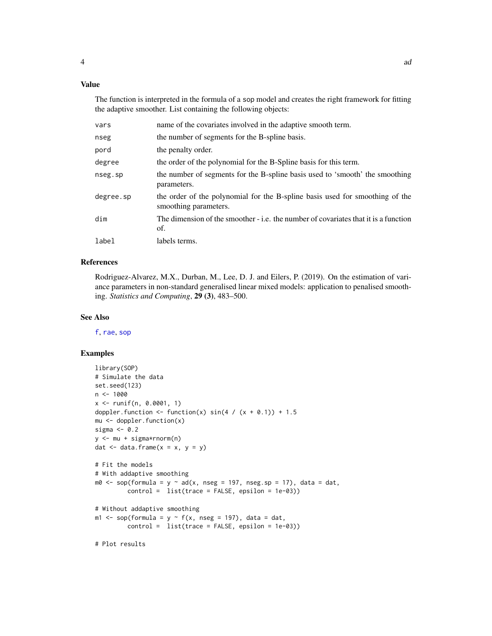<span id="page-3-0"></span>The function is interpreted in the formula of a sop model and creates the right framework for fitting the adaptive smoother. List containing the following objects:

| vars      | name of the covariates involved in the adaptive smooth term.                                          |
|-----------|-------------------------------------------------------------------------------------------------------|
| nseg      | the number of segments for the B-spline basis.                                                        |
| pord      | the penalty order.                                                                                    |
| degree    | the order of the polynomial for the B-Spline basis for this term.                                     |
| nseg.sp   | the number of segments for the B-spline basis used to 'smooth' the smoothing<br>parameters.           |
| degree.sp | the order of the polynomial for the B-spline basis used for smoothing of the<br>smoothing parameters. |
| dim       | The dimension of the smoother - i.e. the number of covariates that it is a function<br>of.            |
| label     | labels terms.                                                                                         |
|           |                                                                                                       |

# References

Rodriguez-Alvarez, M.X., Durban, M., Lee, D. J. and Eilers, P. (2019). On the estimation of variance parameters in non-standard generalised linear mixed models: application to penalised smoothing. *Statistics and Computing*, 29 (3), 483–500.

#### See Also

[f](#page-4-1), [rae](#page-11-1), [sop](#page-12-1)

# Examples

```
library(SOP)
# Simulate the data
set.seed(123)
n < - 1000x \le runif(n, 0.0001, 1)
doppler.function <- function(x) sin(4 / (x + 0.1)) + 1.5mu < - doppler.function(x)
sigma <-0.2y <- mu + sigma*rnorm(n)
dat \leq data.frame(x = x, y = y)
# Fit the models
# With addaptive smoothing
m\theta <- sop(formula = y ~ ad(x, nseg = 197, nseg.sp = 17), data = dat,
         control = list(true = FALSE, epsilon = 1e-03)# Without addaptive smoothing
m1 <- sop(formula = y \sim f(x, \text{ nseg = 197}), data = dat,
         control = list(trace = FALSE, epsilon = 1e-03))
```
# Plot results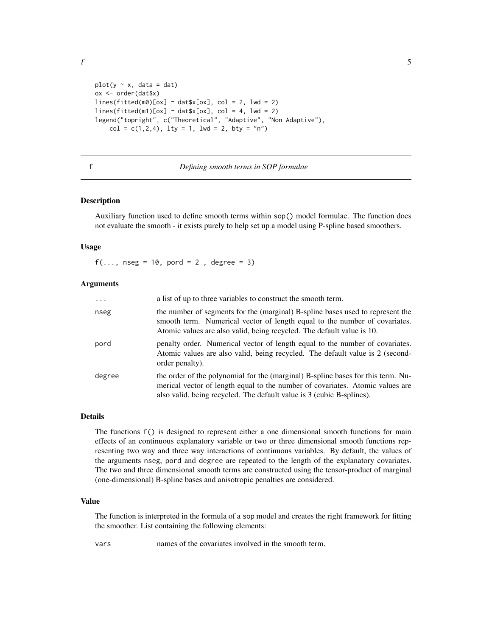<span id="page-4-0"></span>f  $\overline{5}$ 

```
plot(y \sim x, data = dat)ox <- order(dat$x)
lines(fitted(m0)[ox] ~~{}^{\sim}~ data $x[ox],~ col = 2,~ lwd = 2)lines(fitted(m1)[ox] ~~{}datsx[ox],~col = 4, ~1wd = 2)legend("topright", c("Theoretical", "Adaptive", "Non Adaptive"),
    col = c(1, 2, 4), lty = 1, lwd = 2, bty = "n")
```
<span id="page-4-1"></span>f *Defining smooth terms in SOP formulae*

#### **Description**

Auxiliary function used to define smooth terms within sop() model formulae. The function does not evaluate the smooth - it exists purely to help set up a model using P-spline based smoothers.

# Usage

 $f(\ldots, n \text{ seg} = 10, \text{ pord} = 2, \text{ degree} = 3)$ 

#### **Arguments**

| $\cdots$ | a list of up to three variables to construct the smooth term.                                                                                                                                                                              |
|----------|--------------------------------------------------------------------------------------------------------------------------------------------------------------------------------------------------------------------------------------------|
| nseg     | the number of segments for the (marginal) B-spline bases used to represent the<br>smooth term. Numerical vector of length equal to the number of covariates.<br>Atomic values are also valid, being recycled. The default value is 10.     |
| pord     | penalty order. Numerical vector of length equal to the number of covariates.<br>Atomic values are also valid, being recycled. The default value is 2 (second-<br>order penalty).                                                           |
| degree   | the order of the polynomial for the (marginal) B-spline bases for this term. Nu-<br>merical vector of length equal to the number of covariates. Atomic values are<br>also valid, being recycled. The default value is 3 (cubic B-splines). |

# Details

The functions f() is designed to represent either a one dimensional smooth functions for main effects of an continuous explanatory variable or two or three dimensional smooth functions representing two way and three way interactions of continuous variables. By default, the values of the arguments nseg, pord and degree are repeated to the length of the explanatory covariates. The two and three dimensional smooth terms are constructed using the tensor-product of marginal (one-dimensional) B-spline bases and anisotropic penalties are considered.

#### Value

The function is interpreted in the formula of a sop model and creates the right framework for fitting the smoother. List containing the following elements:

vars names of the covariates involved in the smooth term.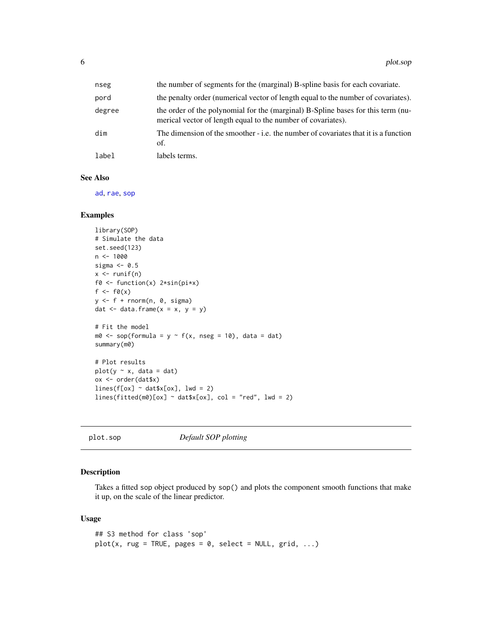<span id="page-5-0"></span>

| nseg   | the number of segments for the (marginal) B-spline basis for each covariate.                                                                     |
|--------|--------------------------------------------------------------------------------------------------------------------------------------------------|
| pord   | the penalty order (numerical vector of length equal to the number of covariates).                                                                |
| degree | the order of the polynomial for the (marginal) B-Spline bases for this term (nu-<br>merical vector of length equal to the number of covariates). |
| dim    | The dimension of the smoother - i.e. the number of covariates that it is a function<br>of.                                                       |
| label  | labels terms.                                                                                                                                    |

#### See Also

[ad](#page-2-1), [rae](#page-11-1), [sop](#page-12-1)

#### Examples

```
library(SOP)
# Simulate the data
set.seed(123)
n < -1000sigma <-0.5x \leftarrow runif(n)f0 <- function(x) 2*sin(pi*x)
f \leftarrow f \emptyset(x)y \leftarrow f + \text{norm}(n, \theta, \text{sigma})dat \leq data.frame(x = x, y = y)
# Fit the model
m0 \leq -\text{ sop}(\text{formula} = y \sim f(x, \text{ nseg} = 10), \text{ data} = \text{dat})summary(m0)
# Plot results
plot(y \sim x, data = dat)ox <- order(dat$x)
lines(f[ox] ~\sim~ data(x[ox], lwd = 2)lines(fitted(m0)[ox] ~~^{\sim}~ data $x[ox], ~col = "red", ~lwd = 2)
```
<span id="page-5-1"></span>

| plot.sop |  |  |  |
|----------|--|--|--|
|----------|--|--|--|

**Default SOP plotting** 

# Description

Takes a fitted sop object produced by sop() and plots the component smooth functions that make it up, on the scale of the linear predictor.

#### Usage

```
## S3 method for class 'sop'
plot(x, rug = TRUE, pages = 0, select = NULL, grid, ...)
```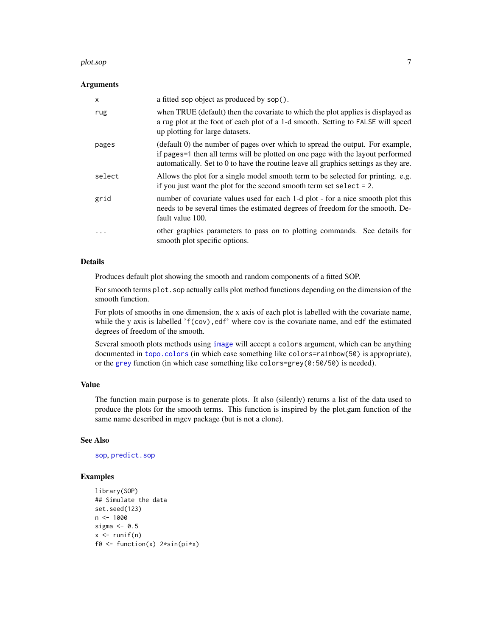#### <span id="page-6-0"></span>plot.sop 7

#### Arguments

| X        | a fitted sop object as produced by sop().                                                                                                                                                                                                                |
|----------|----------------------------------------------------------------------------------------------------------------------------------------------------------------------------------------------------------------------------------------------------------|
| rug      | when TRUE (default) then the covariate to which the plot applies is displayed as<br>a rug plot at the foot of each plot of a 1-d smooth. Setting to FALSE will speed<br>up plotting for large datasets.                                                  |
| pages    | (default 0) the number of pages over which to spread the output. For example,<br>if pages=1 then all terms will be plotted on one page with the layout performed<br>automatically. Set to 0 to have the routine leave all graphics settings as they are. |
| select   | Allows the plot for a single model smooth term to be selected for printing. e.g.<br>if you just want the plot for the second smooth term set select $= 2$ .                                                                                              |
| grid     | number of covariate values used for each 1-d plot - for a nice smooth plot this<br>needs to be several times the estimated degrees of freedom for the smooth. De-<br>fault value 100.                                                                    |
| $\cdots$ | other graphics parameters to pass on to plotting commands. See details for<br>smooth plot specific options.                                                                                                                                              |

# Details

Produces default plot showing the smooth and random components of a fitted SOP.

For smooth terms plot. sop actually calls plot method functions depending on the dimension of the smooth function.

For plots of smooths in one dimension, the x axis of each plot is labelled with the covariate name, while the y axis is labelled  $f(cov)$ , edf' where cov is the covariate name, and edf the estimated degrees of freedom of the smooth.

Several smooth plots methods using [image](#page-0-0) will accept a colors argument, which can be anything documented in [topo.colors](#page-0-0) (in which case something like colors=rainbow(50) is appropriate), or the [grey](#page-0-0) function (in which case something like colors=grey(0:50/50) is needed).

# Value

The function main purpose is to generate plots. It also (silently) returns a list of the data used to produce the plots for the smooth terms. This function is inspired by the plot.gam function of the same name described in mgcv package (but is not a clone).

#### See Also

[sop](#page-12-1), [predict.sop](#page-7-1)

```
library(SOP)
## Simulate the data
set.seed(123)
n < - 1000sigma <-0.5x \leftarrow runif(n)f0 <- function(x) 2*sin(pix)
```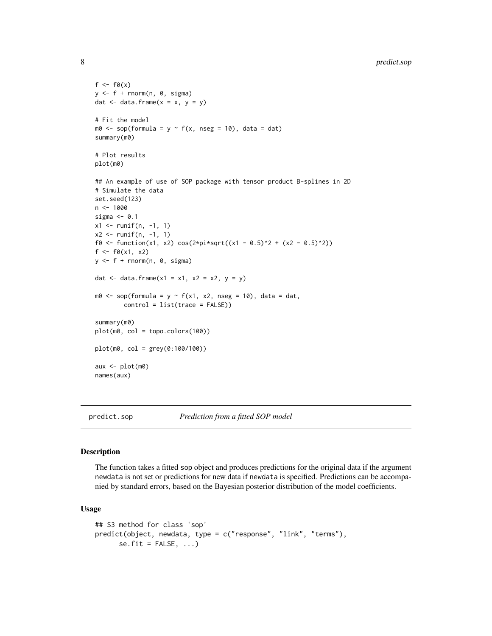```
f \leftarrow f \emptyset(x)y \leftarrow f + \text{norm}(n, \theta, \text{sigma})dat \leq data.frame(x = x, y = y)
# Fit the model
m0 \leq -\text{ sop}(\text{formula} = y \sim f(x, \text{ nseg} = 10), \text{ data} = \text{dat})summary(m0)
# Plot results
plot(m0)
## An example of use of SOP package with tensor product B-splines in 2D
# Simulate the data
set.seed(123)
n < - 1000sigma <-0.1x1 \leftarrow runif(n, -1, 1)x2 \le runif(n, -1, 1)
f0 \leftarrow function(x1, x2) \cos(2*pi*sqrt((x1 - 0.5)^2 + (x2 - 0.5)^2))f \leftarrow f0(x1, x2)y \leftarrow f + \text{rnorm}(n, 0, \text{sigma})dat <- data.frame(x1 = x1, x2 = x2, y = y)
m0 <- sop(formula = y \sim f(x1, x2, nseg = 10), data = dat,
         control = list(trace = FALSE))
summary(m0)
plot(m0, col = topo.colors(100))
plot(m0, col = grey(0:100/100))
aux <- plot(m0)
names(aux)
```

```
predict.sop Prediction from a fitted SOP model
```
#### Description

The function takes a fitted sop object and produces predictions for the original data if the argument newdata is not set or predictions for new data if newdata is specified. Predictions can be accompanied by standard errors, based on the Bayesian posterior distribution of the model coefficients.

#### Usage

```
## S3 method for class 'sop'
predict(object, newdata, type = c("response", "link", "terms"),
     se.fit = FALSE, ...)
```
<span id="page-7-0"></span>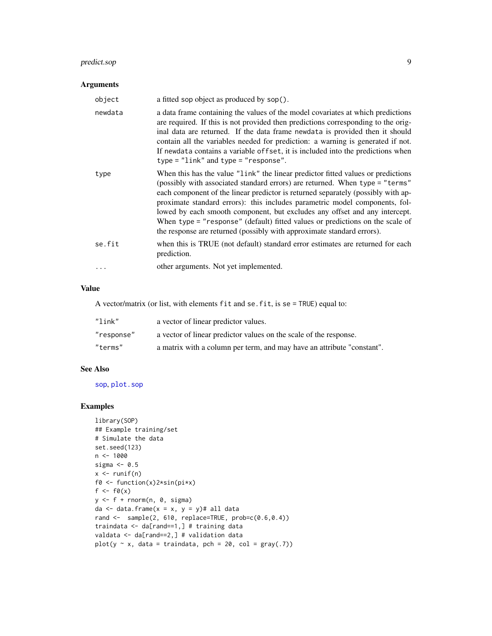# <span id="page-8-0"></span>predict.sop 9

# Arguments

| object  | a fitted sop object as produced by sop().                                                                                                                                                                                                                                                                                                                                                                                                                                                                                                                                    |
|---------|------------------------------------------------------------------------------------------------------------------------------------------------------------------------------------------------------------------------------------------------------------------------------------------------------------------------------------------------------------------------------------------------------------------------------------------------------------------------------------------------------------------------------------------------------------------------------|
| newdata | a data frame containing the values of the model covariates at which predictions<br>are required. If this is not provided then predictions corresponding to the orig-<br>inal data are returned. If the data frame newdata is provided then it should<br>contain all the variables needed for prediction: a warning is generated if not.<br>If newdata contains a variable offset, it is included into the predictions when<br>$type = "link"$ and $type = "response".$                                                                                                       |
| type    | When this has the value "link" the linear predictor fitted values or predictions<br>(possibly with associated standard errors) are returned. When type = "terms"<br>each component of the linear predictor is returned separately (possibly with ap-<br>proximate standard errors): this includes parametric model components, fol-<br>lowed by each smooth component, but excludes any offset and any intercept.<br>When type = "response" (default) fitted values or predictions on the scale of<br>the response are returned (possibly with approximate standard errors). |
| se.fit  | when this is TRUE (not default) standard error estimates are returned for each<br>prediction.                                                                                                                                                                                                                                                                                                                                                                                                                                                                                |
|         | other arguments. Not yet implemented.                                                                                                                                                                                                                                                                                                                                                                                                                                                                                                                                        |

# Value

A vector/matrix (or list, with elements fit and se.fit, is se = TRUE) equal to:

| "link"     | a vector of linear predictor values.                                   |
|------------|------------------------------------------------------------------------|
| "response" | a vector of linear predictor values on the scale of the response.      |
| "terms"    | a matrix with a column per term, and may have an attribute "constant". |

# See Also

[sop](#page-12-1), [plot.sop](#page-5-1)

```
library(SOP)
## Example training/set
# Simulate the data
set.seed(123)
n < -1000sigma <-0.5x \leftarrow runif(n)f0 <- function(x)2*sin(pi*x)
f \leftarrow f \emptyset(x)y \leftarrow f + \text{norm}(n, \theta, \text{sigma})da \leq data.frame(x = x, y = y)# all data
rand \leq sample(2, 610, replace=TRUE, prob=c(0.6,0.4))
traindata <- da[rand==1,] # training data
valdata <- da[rand==2,] # validation data
plot(y \sim x, data = traindata, pch = 20, col = gray(.7))
```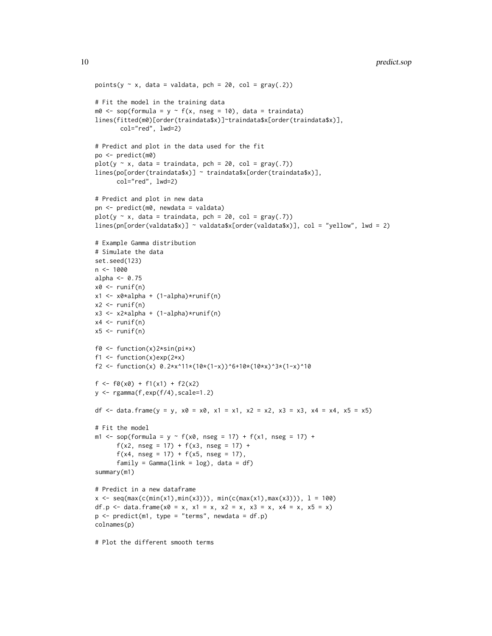```
points(y \sim x, data = valdata, pch = 20, col = gray(.2))
# Fit the model in the training data
m0 \leq -\text{ sop}(\text{formula} = y \sim f(x, \text{nseg} = 10), \text{ data} = \text{traindata})lines(fitted(m0)[order(traindata$x)]~traindata$x[order(traindata$x)],
       col="red", lwd=2)
# Predict and plot in the data used for the fit
po <- predict(m0)
plot(y \sim x, data = traindata, pch = 20, col = gray(.7))
lines(po[order(traindata$x)] ~ traindata$x[order(traindata$x)],
      col="red", lwd=2)
# Predict and plot in new data
pn <- predict(m0, newdata = valdata)
plot(y \sim x, data = traindata, pch = 20, col = gray(.7))
lines(pn[order(valdata$x)] ~ valdata$x[order(valdata$x)], col = "yellow", lwd = 2)
# Example Gamma distribution
# Simulate the data
set.seed(123)
n < - 1000alpha <- 0.75
x0 \leq runif(n)x1 <- x0*alpha + (1-alpha)*runif(n)
x2 \le- runif(n)
x3 \leq x2 \times \alphalpha + (1-alpha)*runif(n)
x4 \leftarrow runif(n)x5 \le- runif(n)
f0 <- function(x)2*sin(pi*x)
f1 \le function(x)exp(2*x)
f2 <- function(x) 0.2*x^11*(10*(1-x))^6+10*(10*x)^3*(1-x)^10
f \leftarrow f\theta(x\theta) + f1(x1) + f2(x2)y <- rgamma(f,exp(f/4),scale=1.2)
df <- data.frame(y = y, x0 = x0, x1 = x1, x2 = x2, x3 = x3, x4 = x4, x5 = x5)
# Fit the model
m1 <- sop(formula = y \sim f(x\theta), nseg = 17) + f(x1), nseg = 17) +
       f(x2, nseg = 17) + f(x3, nseg = 17) +f(x4, nseg = 17) + f(x5, nseg = 17),
      family = Gamma(link = log), data = df)
summary(m1)
# Predict in a new dataframe
x \leq -\text{seq}(\text{max}(c(\text{min}(x1), \text{min}(x3))), \text{min}(c(\text{max}(x1), \text{max}(x3))), 1 = 100)
df.p <- data.frame(x0 = x, x1 = x, x2 = x, x3 = x, x4 = x, x5 = x)
p \le - \text{predict}(m1, \text{ type} = \text{"terms", \text{ newdata = df.p}})colnames(p)
# Plot the different smooth terms
```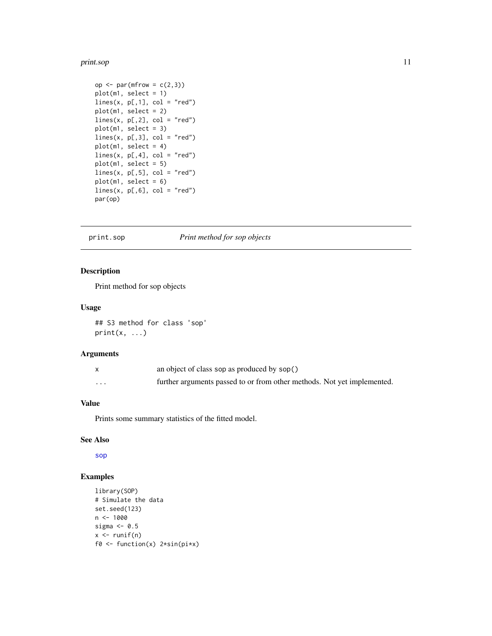#### <span id="page-10-0"></span>print.sop 11

```
op \leq par(mfrow = c(2,3))
plot(m1, select = 1)
lines(x, p[,1], col = "red")plot(m1, select = 2)
lines(x, p[,2], col = "red")plot(m1, select = 3)
lines(x, p[,3], col = "red")
plot(m1, select = 4)
lines(x, p[, 4], col = "red")plot(m1, select = 5)
lines(x, p[, 5], col = "red")plot(m1, select = 6)
lines(x, p[, 6], col = "red")par(op)
```
# print.sop *Print method for sop objects*

#### Description

Print method for sop objects

#### Usage

## S3 method for class 'sop'  $print(x, \ldots)$ 

# Arguments

|                         | an object of class sop as produced by sop()                             |
|-------------------------|-------------------------------------------------------------------------|
| $\cdot$ $\cdot$ $\cdot$ | further arguments passed to or from other methods. Not yet implemented. |

# Value

Prints some summary statistics of the fitted model.

#### See Also

[sop](#page-12-1)

```
library(SOP)
# Simulate the data
set.seed(123)
n <- 1000
sigma <-0.5x \leftarrow runif(n)f0 <- function(x) 2*sin(pix)
```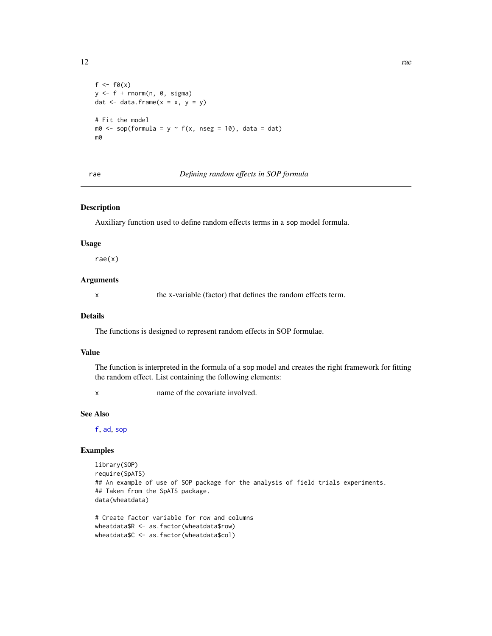```
f \leftarrow f \emptyset(x)y \leftarrow f + \text{rnorm}(n, \theta, \text{sigma})dat \leq data.frame(x = x, y = y)
# Fit the model
m0 <- sop(formula = y \sim f(x, nseg = 10), data = dat)
m0
```
#### <span id="page-11-1"></span>rae *Defining random effects in SOP formula*

## Description

Auxiliary function used to define random effects terms in a sop model formula.

#### Usage

rae(x)

### Arguments

x the x-variable (factor) that defines the random effects term.

#### Details

The functions is designed to represent random effects in SOP formulae.

#### Value

The function is interpreted in the formula of a sop model and creates the right framework for fitting the random effect. List containing the following elements:

x name of the covariate involved.

# See Also

[f](#page-4-1), [ad](#page-2-1), [sop](#page-12-1)

```
library(SOP)
require(SpATS)
## An example of use of SOP package for the analysis of field trials experiments.
## Taken from the SpATS package.
data(wheatdata)
# Create factor variable for row and columns
```

```
wheatdata$R <- as.factor(wheatdata$row)
wheatdata$C <- as.factor(wheatdata$col)
```
<span id="page-11-0"></span>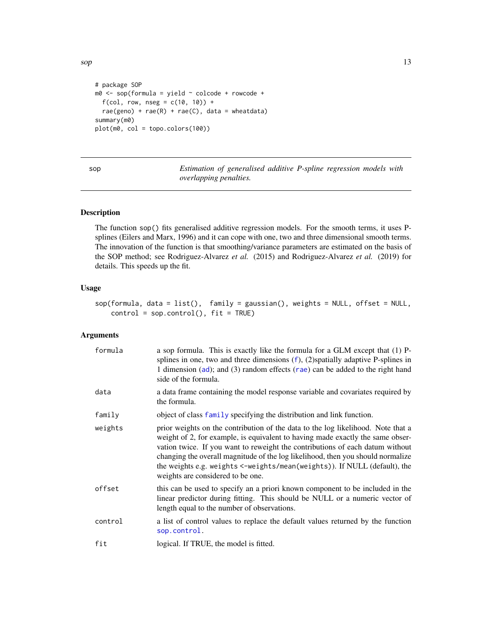<span id="page-12-0"></span> $\mathfrak{sop}$  13

```
# package SOP
m0 <- sop(formula = yield ~ colcode + rowcode +
  f(cd, row, nseg = c(10, 10)) +rae(geno) + rae(R) + rae(C), data = wheatdata)
summary(m0)
plot(m0, col = topo.colors(100))
```
<span id="page-12-1"></span>sop *Estimation of generalised additive P-spline regression models with overlapping penalties.*

# Description

The function sop() fits generalised additive regression models. For the smooth terms, it uses Psplines (Eilers and Marx, 1996) and it can cope with one, two and three dimensional smooth terms. The innovation of the function is that smoothing/variance parameters are estimated on the basis of the SOP method; see Rodriguez-Alvarez *et al.* (2015) and Rodriguez-Alvarez *et al.* (2019) for details. This speeds up the fit.

#### Usage

```
sop(formula, data = list(), family = gaussian(), weights = NULL, offset = NULL,
   control = sop.contrib(), fit = TRUE)
```
### Arguments

| formula | a sop formula. This is exactly like the formula for a GLM except that (1) P-<br>splines in one, two and three dimensions $(f)$ , $(2)$ spatially adaptive P-splines in<br>1 dimension (ad); and (3) random effects $(\text{rae})$ can be added to the right hand<br>side of the formula.                                                                                                                                                                 |
|---------|----------------------------------------------------------------------------------------------------------------------------------------------------------------------------------------------------------------------------------------------------------------------------------------------------------------------------------------------------------------------------------------------------------------------------------------------------------|
| data    | a data frame containing the model response variable and covariates required by<br>the formula.                                                                                                                                                                                                                                                                                                                                                           |
| family  | object of class family specifying the distribution and link function.                                                                                                                                                                                                                                                                                                                                                                                    |
| weights | prior weights on the contribution of the data to the log likelihood. Note that a<br>weight of 2, for example, is equivalent to having made exactly the same obser-<br>vation twice. If you want to reweight the contributions of each datum without<br>changing the overall magnitude of the log likelihood, then you should normalize<br>the weights e.g. weights <-weights/mean(weights)). If NULL (default), the<br>weights are considered to be one. |
| offset  | this can be used to specify an a priori known component to be included in the<br>linear predictor during fitting. This should be NULL or a numeric vector of<br>length equal to the number of observations.                                                                                                                                                                                                                                              |
| control | a list of control values to replace the default values returned by the function<br>sop.control.                                                                                                                                                                                                                                                                                                                                                          |
| fit     | logical. If TRUE, the model is fitted.                                                                                                                                                                                                                                                                                                                                                                                                                   |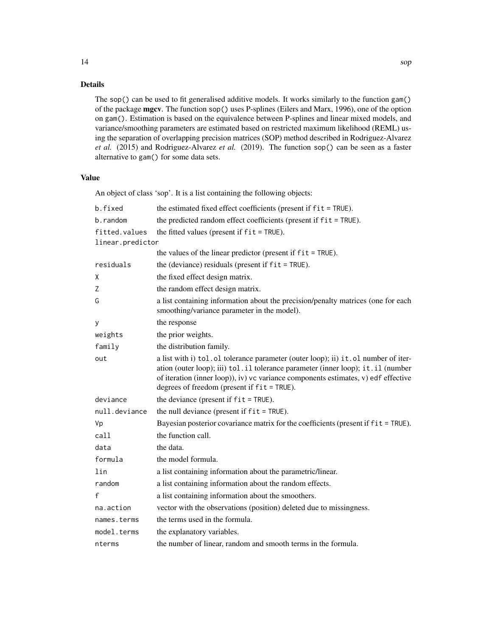# Details

The sop() can be used to fit generalised additive models. It works similarly to the function gam() of the package mgcv. The function sop() uses P-splines (Eilers and Marx, 1996), one of the option on gam(). Estimation is based on the equivalence between P-splines and linear mixed models, and variance/smoothing parameters are estimated based on restricted maximum likelihood (REML) using the separation of overlapping precision matrices (SOP) method described in Rodriguez-Alvarez *et al.* (2015) and Rodriguez-Alvarez *et al.* (2019). The function sop() can be seen as a faster alternative to gam() for some data sets.

# Value

An object of class 'sop'. It is a list containing the following objects:

| b.fixed          | the estimated fixed effect coefficients (present if fit = TRUE).                                                                                                                                                                                                                                                 |
|------------------|------------------------------------------------------------------------------------------------------------------------------------------------------------------------------------------------------------------------------------------------------------------------------------------------------------------|
| b.random         | the predicted random effect coefficients (present if fit = TRUE).                                                                                                                                                                                                                                                |
| fitted.values    | the fitted values (present if $fit = TRUE$ ).                                                                                                                                                                                                                                                                    |
| linear.predictor |                                                                                                                                                                                                                                                                                                                  |
|                  | the values of the linear predictor (present if $fit = TRUE$ ).                                                                                                                                                                                                                                                   |
| residuals        | the (deviance) residuals (present if $fit = TRUE$ ).                                                                                                                                                                                                                                                             |
| Χ                | the fixed effect design matrix.                                                                                                                                                                                                                                                                                  |
| Z                | the random effect design matrix.                                                                                                                                                                                                                                                                                 |
| G                | a list containing information about the precision/penalty matrices (one for each<br>smoothing/variance parameter in the model).                                                                                                                                                                                  |
| у                | the response                                                                                                                                                                                                                                                                                                     |
| weights          | the prior weights.                                                                                                                                                                                                                                                                                               |
| family           | the distribution family.                                                                                                                                                                                                                                                                                         |
| out              | a list with i) tol. ol tolerance parameter (outer loop); ii) it. ol number of iter-<br>ation (outer loop); iii) tol. il tolerance parameter (inner loop); it. il (number<br>of iteration (inner loop)), iv) vc variance components estimates, v) edf effective<br>degrees of freedom (present if $fit = TRUE$ ). |
| deviance         | the deviance (present if $fit = TRUE$ ).                                                                                                                                                                                                                                                                         |
| null.deviance    | the null deviance (present if $fit = TRUE$ ).                                                                                                                                                                                                                                                                    |
| Vp               | Bayesian posterior covariance matrix for the coefficients (present if fit = TRUE).                                                                                                                                                                                                                               |
| call             | the function call.                                                                                                                                                                                                                                                                                               |
| data             | the data.                                                                                                                                                                                                                                                                                                        |
| formula          | the model formula.                                                                                                                                                                                                                                                                                               |
| lin              | a list containing information about the parametric/linear.                                                                                                                                                                                                                                                       |
| random           | a list containing information about the random effects.                                                                                                                                                                                                                                                          |
| f                | a list containing information about the smoothers.                                                                                                                                                                                                                                                               |
| na.action        | vector with the observations (position) deleted due to missingness.                                                                                                                                                                                                                                              |
| names.terms      | the terms used in the formula.                                                                                                                                                                                                                                                                                   |
| model.terms      | the explanatory variables.                                                                                                                                                                                                                                                                                       |
| nterms           | the number of linear, random and smooth terms in the formula.                                                                                                                                                                                                                                                    |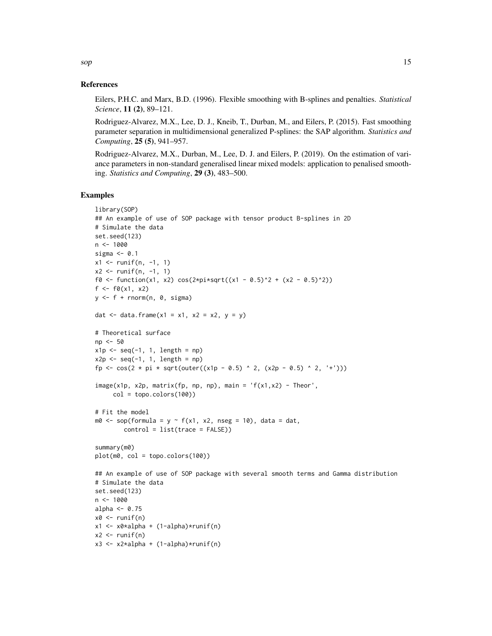#### References

Eilers, P.H.C. and Marx, B.D. (1996). Flexible smoothing with B-splines and penalties. *Statistical Science*, 11 (2), 89–121.

Rodriguez-Alvarez, M.X., Lee, D. J., Kneib, T., Durban, M., and Eilers, P. (2015). Fast smoothing parameter separation in multidimensional generalized P-splines: the SAP algorithm. *Statistics and Computing*, 25 (5), 941–957.

Rodriguez-Alvarez, M.X., Durban, M., Lee, D. J. and Eilers, P. (2019). On the estimation of variance parameters in non-standard generalised linear mixed models: application to penalised smoothing. *Statistics and Computing*, 29 (3), 483–500.

#### Examples

```
library(SOP)
## An example of use of SOP package with tensor product B-splines in 2D
# Simulate the data
set.seed(123)
n < - 1000sigma <- 0.1
x1 \le runif(n, -1, 1)
x2 \le runif(n, -1, 1)
f0 <- function(x1, x2) cos(2*pi*sqrt((x1 - 0.5)^2 + (x2 - 0.5)^2))
f \leftarrow f0(x1, x2)y \leftarrow f + \text{rnorm}(n, \theta, \text{sigma})dat \le data.frame(x1 = x1, x2 = x2, y = y)
# Theoretical surface
np <- 50
x1p \leftarrow seq(-1, 1, length = np)x2p \leftarrow seq(-1, 1, length = np)fp <- cos(2 * pi * sqrt(outer((x1p - 0.5) ^ 2, (x2p - 0.5) ^ 2, '+')))
image(x1p, x2p, matrix(fp, np, np), main = 'f(x1, x2) - Theor',col = topo.colors(100)# Fit the model
m0 \leq sop(formula = y \sim f(x1, x2, nseg = 10), data = dat,
        control = list(true = FALSE))
summary(m0)
plot(m0, col = topo.colors(100))
## An example of use of SOP package with several smooth terms and Gamma distribution
# Simulate the data
set.seed(123)
n < - 1000alpha <- 0.75
x0 \leq -runif(n)x1 <- x0*alpha + (1-alpha)*runif(n)
x2 \le- runif(n)
x3 \leq x2 \times \alphalpha + (1-alpha)*runif(n)
```
 $\mathfrak{sop}$  15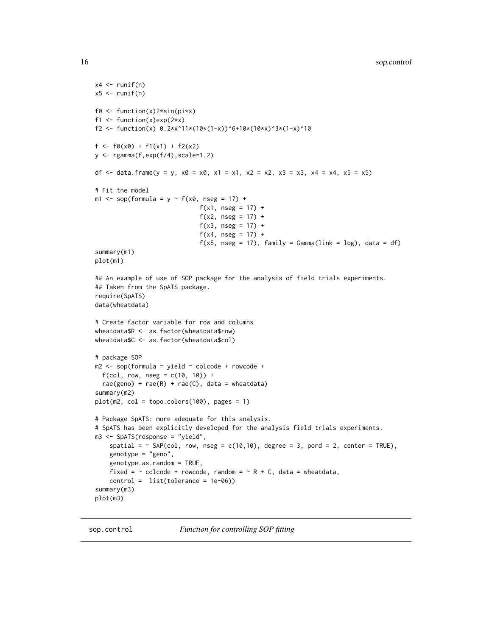```
x4 \leftarrow runif(n)x5 \le- runif(n)
f0 <- function(x)2*sin(pi*x)
f1 <- function(x)exp(2*x)
f2 <- function(x) 0.2*x^11*(10*(1-x))^6+10*(10*x)^3*(1-x)^10f \leftarrow f0(x0) + f1(x1) + f2(x2)y \leftarrow rgamma(f,exp(f/4),scale=1.2)
df <- data.frame(y = y, x0 = x0, x1 = x1, x2 = x2, x3 = x3, x4 = x4, x5 = x5)
# Fit the model
m1 <- sop(formula = y \sim f(x0, \text{ nseg} = 17) +
                              f(x1, nseg = 17) +f(x2, nseg = 17) +f(x3, nseg = 17) +f(x4, nseg = 17) +f(x5, nseg = 17), family = Gamma(link = log), data = df)
summary(m1)
plot(m1)
## An example of use of SOP package for the analysis of field trials experiments.
## Taken from the SpATS package.
require(SpATS)
data(wheatdata)
# Create factor variable for row and columns
wheatdata$R <- as.factor(wheatdata$row)
wheatdata$C <- as.factor(wheatdata$col)
# package SOP
m2 \leq - sop(formula = yield \sim colcode + rowcode +
  f(cd, row, nseg = c(10, 10)) +rae(geno) + rae(R) + rae(C), data = wheatdata)summary(m2)
plot(m2, col = topocolors(100), pages = 1)# Package SpATS: more adequate for this analysis.
# SpATS has been explicitly developed for the analysis field trials experiments.
m3 <- SpATS(response = "yield",
    spatial = \sim SAP(col, row, nseg = c(10,10), degree = 3, pord = 2, center = TRUE),
    genotype = "geno",
    genotype.as.random = TRUE,
    fixed = \sim colcode + rowcode, random = \sim R + C, data = wheatdata,
    control = list(tolerance = 1e-06)summary(m3)
plot(m3)
```
<span id="page-15-1"></span>sop.control *Function for controlling SOP fitting*

<span id="page-15-0"></span>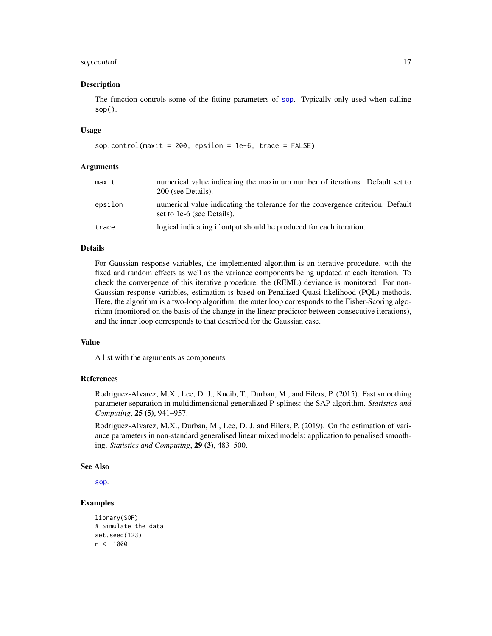# <span id="page-16-0"></span>sop.control 17

#### Description

The function controls some of the fitting parameters of [sop](#page-12-1). Typically only used when calling  $sop()$ .

#### Usage

sop.control(maxit = 200, epsilon = 1e-6, trace = FALSE)

#### Arguments

| maxit   | numerical value indicating the maximum number of iterations. Default set to<br>200 (see Details).             |
|---------|---------------------------------------------------------------------------------------------------------------|
| epsilon | numerical value indicating the tolerance for the convergence criterion. Default<br>set to 1e-6 (see Details). |
| trace   | logical indicating if output should be produced for each iteration.                                           |

# Details

For Gaussian response variables, the implemented algorithm is an iterative procedure, with the fixed and random effects as well as the variance components being updated at each iteration. To check the convergence of this iterative procedure, the (REML) deviance is monitored. For non-Gaussian response variables, estimation is based on Penalized Quasi-likelihood (PQL) methods. Here, the algorithm is a two-loop algorithm: the outer loop corresponds to the Fisher-Scoring algorithm (monitored on the basis of the change in the linear predictor between consecutive iterations), and the inner loop corresponds to that described for the Gaussian case.

#### Value

A list with the arguments as components.

# References

Rodriguez-Alvarez, M.X., Lee, D. J., Kneib, T., Durban, M., and Eilers, P. (2015). Fast smoothing parameter separation in multidimensional generalized P-splines: the SAP algorithm. *Statistics and Computing*, 25 (5), 941–957.

Rodriguez-Alvarez, M.X., Durban, M., Lee, D. J. and Eilers, P. (2019). On the estimation of variance parameters in non-standard generalised linear mixed models: application to penalised smoothing. *Statistics and Computing*, 29 (3), 483–500.

#### See Also

[sop](#page-12-1).

```
library(SOP)
# Simulate the data
set.seed(123)
n < -1000
```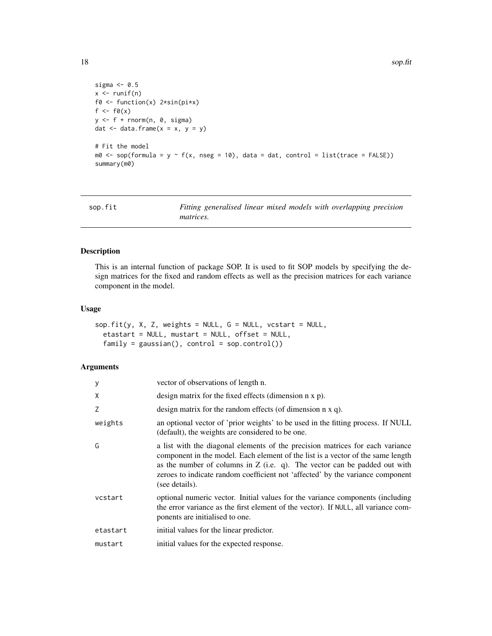```
sigma <-0.5x \leftarrow runif(n)f0 <- function(x) 2*sin(pix)f \leftarrow f \emptyset(x)y \leftarrow f + \text{norm}(n, \theta, \text{sigma})dat \leq data.frame(x = x, y = y)
# Fit the model
m0 \leq - sop(formula = y \sim f(x, nseg = 10), data = dat, control = list(trace = FALSE))
summary(m0)
```

| sop.fit | Fitting generalised linear mixed models with overlapping precision |  |
|---------|--------------------------------------------------------------------|--|
|         | <i>matrices.</i>                                                   |  |

# Description

This is an internal function of package SOP. It is used to fit SOP models by specifying the design matrices for the fixed and random effects as well as the precision matrices for each variance component in the model.

# Usage

```
sop.fit(y, X, Z, weights = NULL, G = NULL, vcstart = NULL,etastart = NULL, mustart = NULL, offset = NULL,
  family = gaussian(), control = sop.contrib()
```
# Arguments

| У        | vector of observations of length n.                                                                                                                                                                                                                                                                                                                 |
|----------|-----------------------------------------------------------------------------------------------------------------------------------------------------------------------------------------------------------------------------------------------------------------------------------------------------------------------------------------------------|
| X        | design matrix for the fixed effects (dimension n x p).                                                                                                                                                                                                                                                                                              |
| Z        | design matrix for the random effects (of dimension $n \times q$ ).                                                                                                                                                                                                                                                                                  |
| weights  | an optional vector of 'prior weights' to be used in the fitting process. If NULL<br>(default), the weights are considered to be one.                                                                                                                                                                                                                |
| G        | a list with the diagonal elements of the precision matrices for each variance<br>component in the model. Each element of the list is a vector of the same length<br>as the number of columns in $Z$ (i.e. q). The vector can be padded out with<br>zeroes to indicate random coefficient not 'affected' by the variance component<br>(see details). |
| vcstart  | optional numeric vector. Initial values for the variance components (including<br>the error variance as the first element of the vector). If NULL, all variance com-<br>ponents are initialised to one.                                                                                                                                             |
| etastart | initial values for the linear predictor.                                                                                                                                                                                                                                                                                                            |
| mustart  | initial values for the expected response.                                                                                                                                                                                                                                                                                                           |

<span id="page-17-0"></span>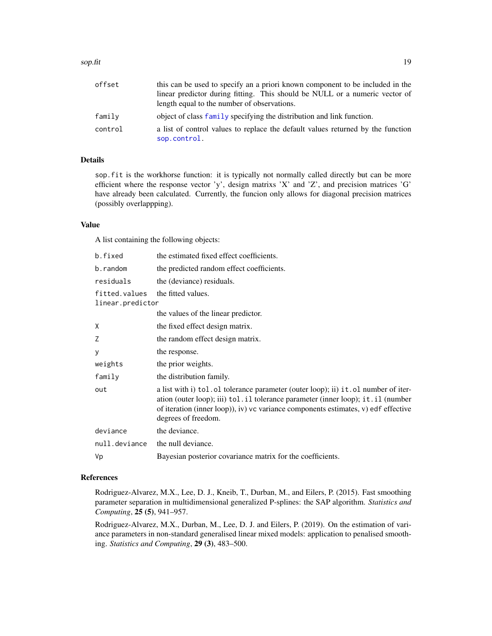#### <span id="page-18-0"></span>sop.fit the same set of the set of the set of the set of the set of the set of the set of the set of the set of the set of the set of the set of the set of the set of the set of the set of the set of the set of the set of

| offset  | this can be used to specify an a priori known component to be included in the                   |
|---------|-------------------------------------------------------------------------------------------------|
|         | linear predictor during fitting. This should be NULL or a numeric vector of                     |
|         | length equal to the number of observations.                                                     |
| family  | object of class family specifying the distribution and link function.                           |
| control | a list of control values to replace the default values returned by the function<br>sop.control. |

# Details

sop. fit is the workhorse function: it is typically not normally called directly but can be more efficient where the response vector 'y', design matrixs 'X' and 'Z', and precision matrices 'G' have already been calculated. Currently, the funcion only allows for diagonal precision matrices (possibly overlappping).

# Value

A list containing the following objects:

| b.fixed                           | the estimated fixed effect coefficients.                                                                                                                                                                                                                                              |
|-----------------------------------|---------------------------------------------------------------------------------------------------------------------------------------------------------------------------------------------------------------------------------------------------------------------------------------|
| b.random                          | the predicted random effect coefficients.                                                                                                                                                                                                                                             |
| residuals                         | the (deviance) residuals.                                                                                                                                                                                                                                                             |
| fitted.values<br>linear.predictor | the fitted values.                                                                                                                                                                                                                                                                    |
|                                   | the values of the linear predictor.                                                                                                                                                                                                                                                   |
| Χ                                 | the fixed effect design matrix.                                                                                                                                                                                                                                                       |
| Ζ                                 | the random effect design matrix.                                                                                                                                                                                                                                                      |
| У                                 | the response.                                                                                                                                                                                                                                                                         |
| weights                           | the prior weights.                                                                                                                                                                                                                                                                    |
| family                            | the distribution family.                                                                                                                                                                                                                                                              |
| out                               | a list with i) tol. ol tolerance parameter (outer loop); ii) it. ol number of iter-<br>ation (outer loop); iii) tol. il tolerance parameter (inner loop); it. il (number<br>of iteration (inner loop)), iv) vc variance components estimates, v) edf effective<br>degrees of freedom. |
| deviance                          | the deviance.                                                                                                                                                                                                                                                                         |
| null.deviance                     | the null deviance.                                                                                                                                                                                                                                                                    |
| Vp                                | Bayesian posterior covariance matrix for the coefficients.                                                                                                                                                                                                                            |
|                                   |                                                                                                                                                                                                                                                                                       |

# References

Rodriguez-Alvarez, M.X., Lee, D. J., Kneib, T., Durban, M., and Eilers, P. (2015). Fast smoothing parameter separation in multidimensional generalized P-splines: the SAP algorithm. *Statistics and Computing*, 25 (5), 941–957.

Rodriguez-Alvarez, M.X., Durban, M., Lee, D. J. and Eilers, P. (2019). On the estimation of variance parameters in non-standard generalised linear mixed models: application to penalised smoothing. *Statistics and Computing*, 29 (3), 483–500.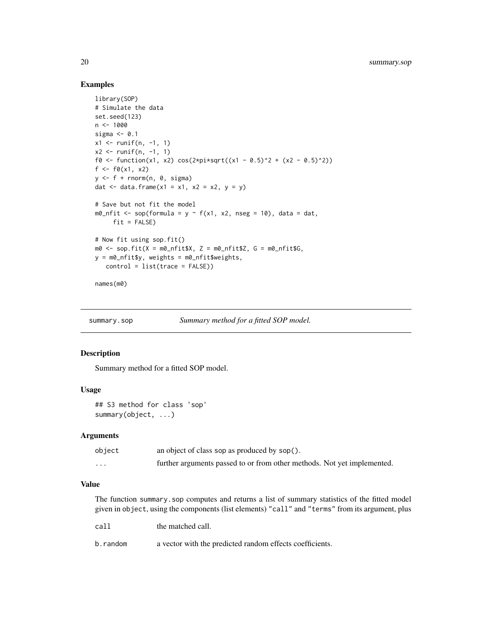# Examples

```
library(SOP)
# Simulate the data
set.seed(123)
n < -1000sigma <- 0.1
x1 \leftarrow runif(n, -1, 1)x2 \le runif(n, -1, 1)
f0 <- function(x1, x2) cos(2*pi*sqrt((x1 - 0.5)^2 + (x2 - 0.5)^2))
f \leftarrow f0(x1, x2)y \leftarrow f + \text{norm}(n, 0, \text{sigma})dat \leq data.frame(x1 = x1, x2 = x2, y = y)
# Save but not fit the model
m\theta_nfit <- sop(formula = y ~ f(x1, x2, nseg = 10), data = dat,
     fit = FALSE)
# Now fit using sop.fit()
m0 \leq sop.fit(X = m0_nfit$X, Z = m0_nfit$Z, G = m0_nfit$G,
y = m0_nfit$y, weights = m0_nfit$weights,
   control = list(trace = FALSE))
names(m0)
```
summary.sop *Summary method for a fitted SOP model.*

# Description

Summary method for a fitted SOP model.

#### Usage

```
## S3 method for class 'sop'
summary(object, ...)
```
### Arguments

| object   | an object of class sop as produced by sop().                            |
|----------|-------------------------------------------------------------------------|
| $\cdots$ | further arguments passed to or from other methods. Not yet implemented. |

#### Value

The function summary.sop computes and returns a list of summary statistics of the fitted model given in object, using the components (list elements) "call" and "terms" from its argument, plus

| call     | the matched call.                                        |
|----------|----------------------------------------------------------|
| b.random | a vector with the predicted random effects coefficients. |

<span id="page-19-0"></span>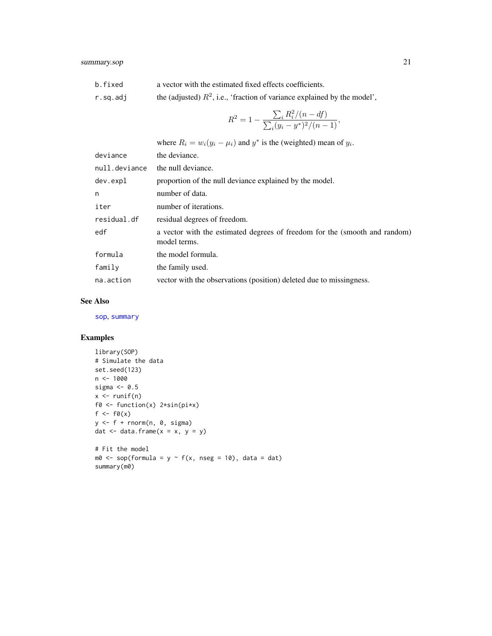<span id="page-20-0"></span>

| b.fixed   | a vector with the estimated fixed effects coefficients.                     |
|-----------|-----------------------------------------------------------------------------|
| r.sq.addj | the (adjusted) $R^2$ , i.e., 'fraction of variance explained by the model', |

$$
R^{2} = 1 - \frac{\sum_{i} R_{i}^{2} / (n - df)}{\sum_{i} (y_{i} - y^{*})^{2} / (n - 1)},
$$

where  $R_i = w_i(y_i - \mu_i)$  and  $y^*$  is the (weighted) mean of  $y_i$ .

| deviance      | the deviance.                                                                              |
|---------------|--------------------------------------------------------------------------------------------|
| null.deviance | the null deviance.                                                                         |
| dev.expl      | proportion of the null deviance explained by the model.                                    |
| n             | number of data.                                                                            |
| iter          | number of iterations.                                                                      |
| residual.df   | residual degrees of freedom.                                                               |
| edf           | a vector with the estimated degrees of freedom for the (smooth and random)<br>model terms. |
| formula       | the model formula.                                                                         |
| family        | the family used.                                                                           |
| na.action     | vector with the observations (position) deleted due to missingness.                        |

# See Also

[sop](#page-12-1), [summary](#page-0-0)

```
library(SOP)
# Simulate the data
set.seed(123)
n <- 1000
sigma <-0.5x \leftarrow runif(n)f0 <- function(x) 2*sin(pi*x)
f \leftarrow f \emptyset(x)y \leftarrow f + \text{norm}(n, 0, \text{sigma})dat \leq data.frame(x = x, y = y)
# Fit the model
m0 <- sop(formula = y \sim f(x, nseg = 10), data = dat)
summary(m0)
```